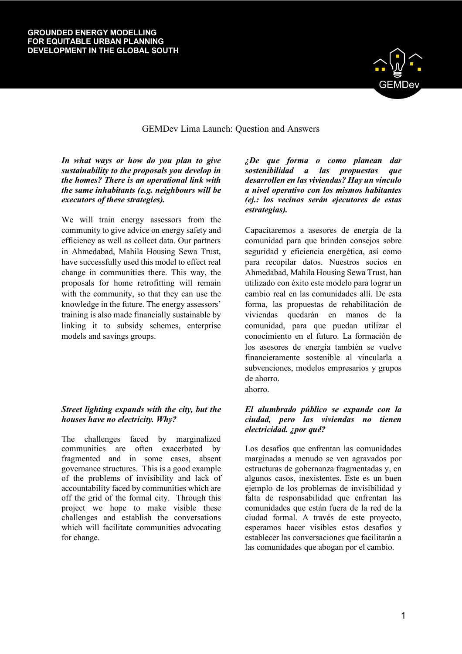

# GEMDev Lima Launch: Question and Answers

*In what ways or how do you plan to give sustainability to the proposals you develop in the homes? There is an operational link with the same inhabitants (e.g. neighbours will be executors of these strategies).*

We will train energy assessors from the community to give advice on energy safety and efficiency as well as collect data. Our partners in Ahmedabad, Mahila Housing Sewa Trust, have successfully used this model to effect real change in communities there. This way, the proposals for home retrofitting will remain with the community, so that they can use the knowledge in the future. The energy assessors' training is also made financially sustainable by linking it to subsidy schemes, enterprise models and savings groups.

# *Street lighting expands with the city, but the houses have no electricity. Why?*

The challenges faced by marginalized communities are often exacerbated by fragmented and in some cases, absent governance structures. This is a good example of the problems of invisibility and lack of accountability faced by communities which are off the grid of the formal city. Through this project we hope to make visible these challenges and establish the conversations which will facilitate communities advocating for change.

*¿De que forma o como planean dar sostenibilidad a las propuestas que desarrollen en las viviendas? Hay un vínculo a nivel operativo con los mismos habitantes (ej.: los vecinos serán ejecutores de estas estrategias).* 

Capacitaremos a asesores de energía de la comunidad para que brinden consejos sobre seguridad y eficiencia energética, así como para recopilar datos. Nuestros socios en Ahmedabad, Mahila Housing Sewa Trust, han utilizado con éxito este modelo para lograr un cambio real en las comunidades allí. De esta forma, las propuestas de rehabilitación de viviendas quedarán en manos de la comunidad, para que puedan utilizar el conocimiento en el futuro. La formación de los asesores de energía también se vuelve financieramente sostenible al vincularla a subvenciones, modelos empresarios y grupos de ahorro.

ahorro.

## *El alumbrado público se expande con la ciudad, pero las viviendas no tienen electricidad. ¿por qué?*

Los desafíos que enfrentan las comunidades marginadas a menudo se ven agravados por estructuras de gobernanza fragmentadas y, en algunos casos, inexistentes. Este es un buen ejemplo de los problemas de invisibilidad y falta de responsabilidad que enfrentan las comunidades que están fuera de la red de la ciudad formal. A través de este proyecto, esperamos hacer visibles estos desafíos y establecer las conversaciones que facilitarán a las comunidades que abogan por el cambio.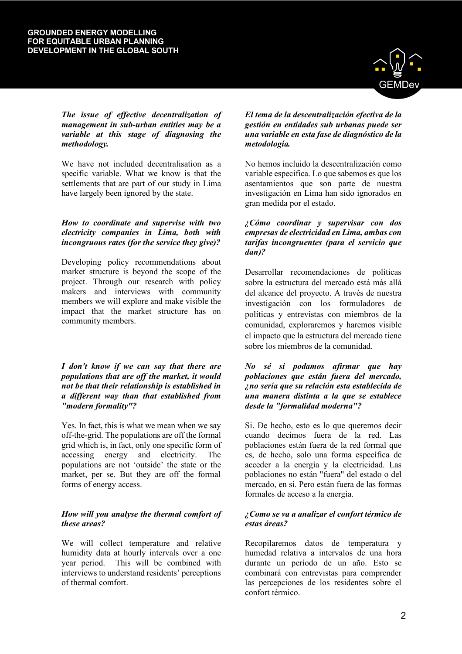

*The issue of effective decentralization of management in sub-urban entities may be a variable at this stage of diagnosing the methodology.*

We have not included decentralisation as a specific variable. What we know is that the settlements that are part of our study in Lima have largely been ignored by the state.

#### *How to coordinate and supervise with two electricity companies in Lima, both with incongruous rates (for the service they give)?*

Developing policy recommendations about market structure is beyond the scope of the project. Through our research with policy makers and interviews with community members we will explore and make visible the impact that the market structure has on community members.

*I don't know if we can say that there are populations that are off the market, it would not be that their relationship is established in a different way than that established from "modern formality"?*

Yes. In fact, this is what we mean when we say off-the-grid. The populations are off the formal grid which is, in fact, only one specific form of<br>accessing energy and electricity. The accessing energy and electricity. The populations are not 'outside' the state or the market, per se. But they are off the formal forms of energy access.

## *How will you analyse the thermal comfort of these areas?*

We will collect temperature and relative humidity data at hourly intervals over a one year period. This will be combined with interviews to understand residents' perceptions of thermal comfort.

*El tema de la descentralización efectiva de la gestión en entidades sub urbanas puede ser una variable en esta fase de diagnóstico de la metodología.*

No hemos incluido la descentralización como variable específica. Lo que sabemos es que los asentamientos que son parte de nuestra investigación en Lima han sido ignorados en gran medida por el estado.

## *¿Cómo coordinar y supervisar con dos empresas de electricidad en Lima, ambas con tarifas incongruentes (para el servicio que dan)?*

Desarrollar recomendaciones de políticas sobre la estructura del mercado está más allá del alcance del proyecto. A través de nuestra investigación con los formuladores de políticas y entrevistas con miembros de la comunidad, exploraremos y haremos visible el impacto que la estructura del mercado tiene sobre los miembros de la comunidad.

#### *No sé si podamos afirmar que hay poblaciones que están fuera del mercado, ¿no sería que su relación esta establecida de una manera distinta a la que se establece desde la "formalidad moderna"?*

Si. De hecho, esto es lo que queremos decir cuando decimos fuera de la red. Las poblaciones están fuera de la red formal que es, de hecho, solo una forma específica de acceder a la energía y la electricidad. Las poblaciones no están "fuera" del estado o del mercado, en si. Pero están fuera de las formas formales de acceso a la energía.

#### *¿Como se va a analizar el confort térmico de estas áreas?*

Recopilaremos datos de temperatura y humedad relativa a intervalos de una hora durante un período de un año. Esto se combinará con entrevistas para comprender las percepciones de los residentes sobre el confort térmico.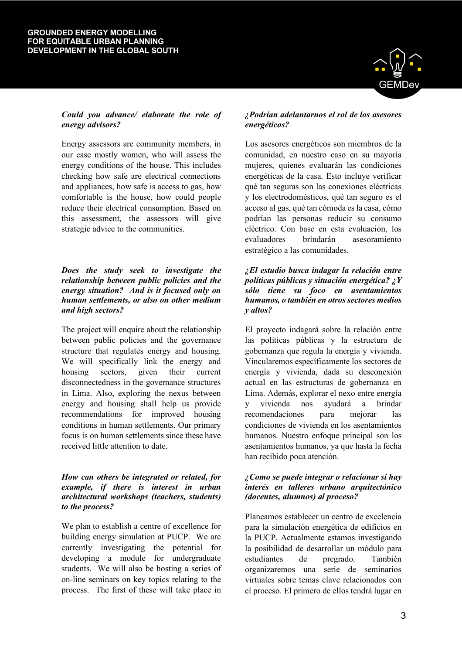## *Could you advance/ elaborate the role of energy advisors?*

Energy assessors are community members, in our case mostly women, who will assess the energy conditions of the house. This includes checking how safe are electrical connections and appliances, how safe is access to gas, how comfortable is the house, how could people reduce their electrical consumption. Based on this assessment, the assessors will give strategic advice to the communities.

#### *Does the study seek to investigate the relationship between public policies and the energy situation? And is it focused only on human settlements, or also on other medium and high sectors?*

The project will enquire about the relationship between public policies and the governance structure that regulates energy and housing. We will specifically link the energy and housing sectors, given their current disconnectedness in the governance structures in Lima. Also, exploring the nexus between energy and housing shall help us provide recommendations for improved housing conditions in human settlements. Our primary focus is on human settlements since these have received little attention to date.

## *How can others be integrated or related, for example, if there is interest in urban architectural workshops (teachers, students) to the process?*

We plan to establish a centre of excellence for building energy simulation at PUCP. We are currently investigating the potential for developing a module for undergraduate students. We will also be hosting a series of on-line seminars on key topics relating to the process. The first of these will take place in



#### *¿Podrían adelantarnos el rol de los asesores energéticos?*

Los asesores energéticos son miembros de la comunidad, en nuestro caso en su mayoría mujeres, quienes evaluarán las condiciones energéticas de la casa. Esto incluye verificar qué tan seguras son las conexiones eléctricas y los electrodomésticos, qué tan seguro es el acceso al gas, qué tan cómoda es la casa, cómo podrían las personas reducir su consumo eléctrico. Con base en esta evaluación, los evaluadores brindarán asesoramiento estratégico a las comunidades.

#### *¿El estudio busca indagar la relación entre políticas públicas y situación energética? ¿Y sólo tiene su foco en asentamientos humanos, o también en otros sectores medios y altos?*

El proyecto indagará sobre la relación entre las políticas públicas y la estructura de gobernanza que regula la energía y vivienda. Vincularemos específicamente los sectores de energía y vivienda, dada su desconexión actual en las estructuras de gobernanza en Lima. Además, explorar el nexo entre energía y vivienda nos ayudará a brindar recomendaciones para mejorar las condiciones de vivienda en los asentamientos humanos. Nuestro enfoque principal son los asentamientos humanos, ya que hasta la fecha han recibido poca atención.

#### *¿Como se puede integrar o relacionar si hay interés en talleres urbano arquitectónico (docentes, alumnos) al proceso?*

Planeamos establecer un centro de excelencia para la simulación energética de edificios en la PUCP. Actualmente estamos investigando la posibilidad de desarrollar un módulo para estudiantes de pregrado. También organizaremos una serie de seminarios virtuales sobre temas clave relacionados con el proceso. El primero de ellos tendrá lugar en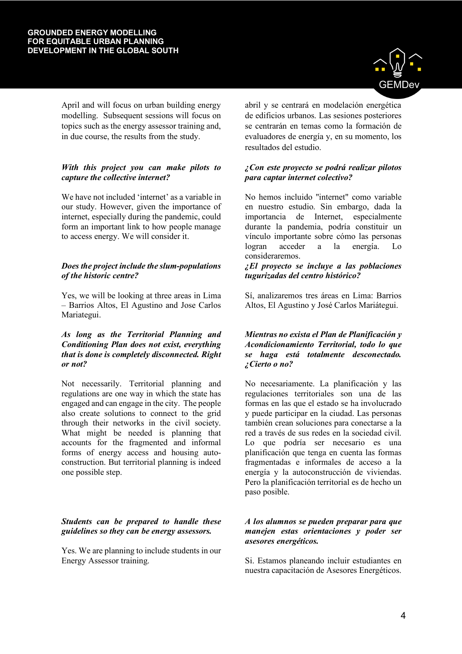April and will focus on urban building energy modelling. Subsequent sessions will focus on topics such as the energy assessor training and, in due course, the results from the study.

## *With this project you can make pilots to capture the collective internet?*

We have not included 'internet' as a variable in our study. However, given the importance of internet, especially during the pandemic, could form an important link to how people manage to access energy. We will consider it.

## *Does the project include the slum-populations of the historic centre?*

Yes, we will be looking at three areas in Lima – Barrios Altos, El Agustino and Jose Carlos Mariategui.

#### *As long as the Territorial Planning and Conditioning Plan does not exist, everything that is done is completely disconnected. Right or not?*

Not necessarily. Territorial planning and regulations are one way in which the state has engaged and can engage in the city. The people also create solutions to connect to the grid through their networks in the civil society. What might be needed is planning that accounts for the fragmented and informal forms of energy access and housing autoconstruction. But territorial planning is indeed one possible step.

## *Students can be prepared to handle these guidelines so they can be energy assessors.*

Yes. We are planning to include students in our Energy Assessor training.



abril y se centrará en modelación energética de edificios urbanos. Las sesiones posteriores se centrarán en temas como la formación de evaluadores de energía y, en su momento, los resultados del estudio.

## *¿Con este proyecto se podrá realizar pilotos para captar internet colectivo?*

No hemos incluido "internet" como variable en nuestro estudio. Sin embargo, dada la importancia de Internet, especialmente durante la pandemia, podría constituir un vínculo importante sobre cómo las personas logran acceder a la energía. Lo consideraremos.

#### *¿El proyecto se incluye a las poblaciones tugurizadas del centro histórico?*

Sí, analizaremos tres áreas en Lima: Barrios Altos, El Agustino y José Carlos Mariátegui.

#### *Mientras no exista el Plan de Planificación y Acondicionamiento Territorial, todo lo que se haga está totalmente desconectado. ¿Cierto o no?*

No necesariamente. La planificación y las regulaciones territoriales son una de las formas en las que el estado se ha involucrado y puede participar en la ciudad. Las personas también crean soluciones para conectarse a la red a través de sus redes en la sociedad civil. Lo que podría ser necesario es una planificación que tenga en cuenta las formas fragmentadas e informales de acceso a la energía y la autoconstrucción de viviendas. Pero la planificación territorial es de hecho un paso posible.

#### *A los alumnos se pueden preparar para que manejen estas orientaciones y poder ser asesores energéticos.*

Si. Estamos planeando incluir estudiantes en nuestra capacitación de Asesores Energéticos.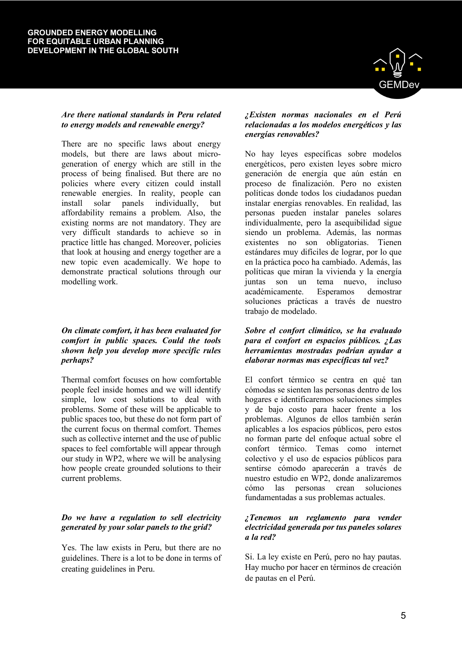# *Are there national standards in Peru related to energy models and renewable energy?*

There are no specific laws about energy models, but there are laws about microgeneration of energy which are still in the process of being finalised. But there are no policies where every citizen could install renewable energies. In reality, people can install solar panels individually, but affordability remains a problem. Also, the existing norms are not mandatory. They are very difficult standards to achieve so in practice little has changed. Moreover, policies that look at housing and energy together are a new topic even academically. We hope to demonstrate practical solutions through our modelling work.

## *On climate comfort, it has been evaluated for comfort in public spaces. Could the tools shown help you develop more specific rules perhaps?*

Thermal comfort focuses on how comfortable people feel inside homes and we will identify simple, low cost solutions to deal with problems. Some of these will be applicable to public spaces too, but these do not form part of the current focus on thermal comfort. Themes such as collective internet and the use of public spaces to feel comfortable will appear through our study in WP2, where we will be analysing how people create grounded solutions to their current problems.

# *Do we have a regulation to sell electricity generated by your solar panels to the grid?*

Yes. The law exists in Peru, but there are no guidelines. There is a lot to be done in terms of creating guidelines in Peru.

#### *¿Existen normas nacionales en el Perú relacionadas a los modelos energéticos y las energías renovables?*

No hay leyes específicas sobre modelos energéticos, pero existen leyes sobre micro generación de energía que aún están en proceso de finalización. Pero no existen políticas donde todos los ciudadanos puedan instalar energías renovables. En realidad, las personas pueden instalar paneles solares individualmente, pero la asequibilidad sigue siendo un problema. Además, las normas existentes no son obligatorias. Tienen estándares muy difíciles de lograr, por lo que en la práctica poco ha cambiado. Además, las políticas que miran la vivienda y la energía juntas son un tema nuevo, incluso académicamente. Esperamos demostrar soluciones prácticas a través de nuestro trabajo de modelado.

## *Sobre el confort climático, se ha evaluado para el confort en espacios públicos. ¿Las herramientas mostradas podrían ayudar a elaborar normas mas específicas tal vez?*

El confort térmico se centra en qué tan cómodas se sienten las personas dentro de los hogares e identificaremos soluciones simples y de bajo costo para hacer frente a los problemas. Algunos de ellos también serán aplicables a los espacios públicos, pero estos no forman parte del enfoque actual sobre el confort térmico. Temas como internet colectivo y el uso de espacios públicos para sentirse cómodo aparecerán a través de nuestro estudio en WP2, donde analizaremos cómo las personas crean soluciones fundamentadas a sus problemas actuales.

#### *¿Tenemos un reglamento para vender electricidad generada por tus paneles solares a la red?*

Si. La ley existe en Perú, pero no hay pautas. Hay mucho por hacer en términos de creación de pautas en el Perú.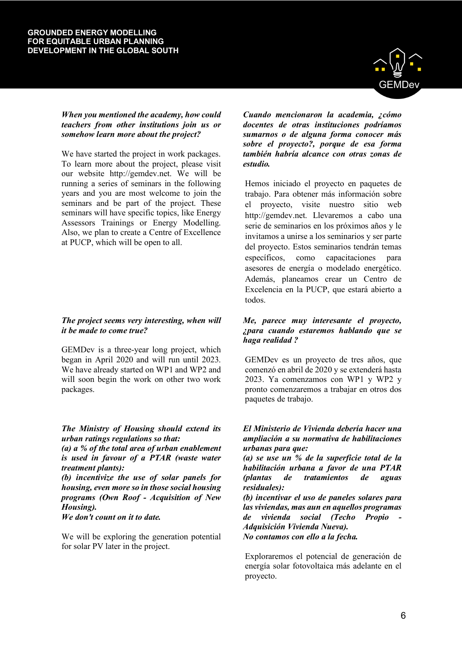

#### *When you mentioned the academy, how could teachers from other institutions join us or somehow learn more about the project?*

We have started the project in work packages. To learn more about the project, please visit our website http://gemdev.net. We will be running a series of seminars in the following years and you are most welcome to join the seminars and be part of the project. These seminars will have specific topics, like Energy Assessors Trainings or Energy Modelling. Also, we plan to create a Centre of Excellence at PUCP, which will be open to all.

# *The project seems very interesting, when will it be made to come true?*

GEMDev is a three-year long project, which began in April 2020 and will run until 2023. We have already started on WP1 and WP2 and will soon begin the work on other two work packages.

# *The Ministry of Housing should extend its urban ratings regulations so that:*

*(a) a % of the total area of urban enablement is used in favour of a PTAR (waste water treatment plants):*

*(b) incentivize the use of solar panels for housing, even more so in those social housing programs (Own Roof - Acquisition of New Housing).*

## *We don't count on it to date.*

We will be exploring the generation potential for solar PV later in the project.

*Cuando mencionaron la academia, ¿cómo docentes de otras instituciones podríamos sumarnos o de alguna forma conocer más sobre el proyecto?, porque de esa forma también habría alcance con otras zonas de estudio.*

Hemos iniciado el proyecto en paquetes de trabajo. Para obtener más información sobre el proyecto, visite nuestro sitio web http://gemdev.net. Llevaremos a cabo una serie de seminarios en los próximos años y le invitamos a unirse a los seminarios y ser parte del proyecto. Estos seminarios tendrán temas específicos, como capacitaciones para asesores de energía o modelado energético. Además, planeamos crear un Centro de Excelencia en la PUCP, que estará abierto a todos.

#### *Me, parece muy interesante el proyecto, ¿para cuando estaremos hablando que se haga realidad ?*

GEMDev es un proyecto de tres años, que comenzó en abril de 2020 y se extenderá hasta 2023. Ya comenzamos con WP1 y WP2 y pronto comenzaremos a trabajar en otros dos paquetes de trabajo.

#### *El Ministerio de Vivienda debería hacer una ampliación a su normativa de habilitaciones urbanas para que:*

*(a) se use un % de la superficie total de la habilitación urbana a favor de una PTAR (plantas de tratamientos de aguas residuales):*

*(b) incentivar el uso de paneles solares para las viviendas, mas aun en aquellos programas de vivienda social (Techo Propio - Adquisición Vivienda Nueva).*

*No contamos con ello a la fecha.*

Exploraremos el potencial de generación de energía solar fotovoltaica más adelante en el proyecto.